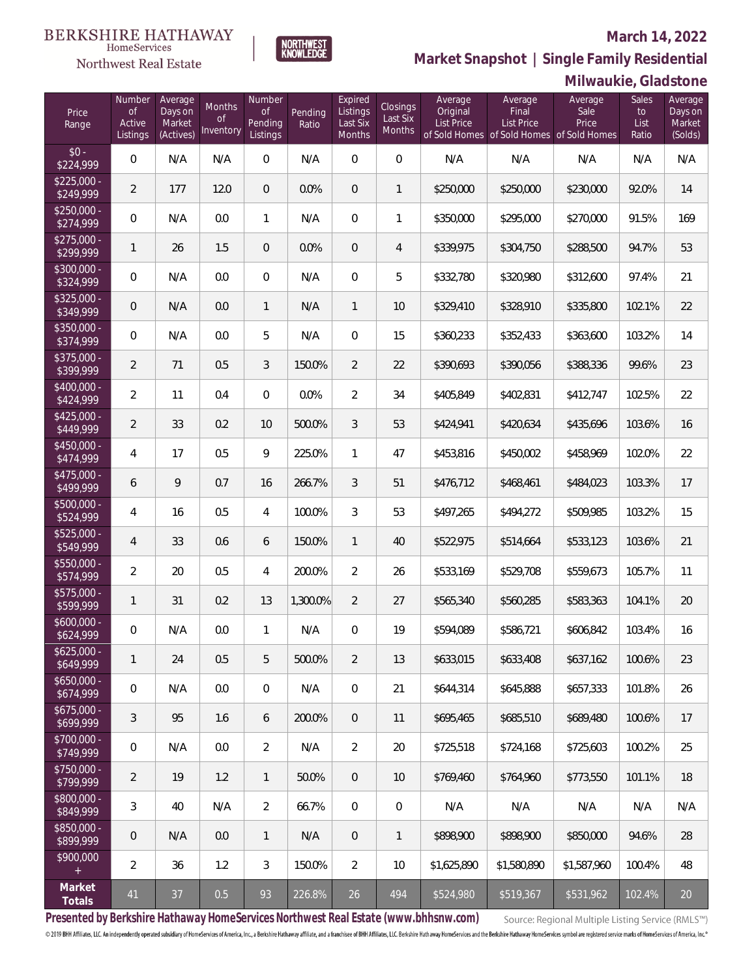#### **BERKSHIRE HATHAWAY** HomeServices

### Northwest Real Estate

#### **March 14, 2022**



| Price<br>Range            | Number<br><b>of</b><br>Active<br>Listings | Average<br>Days on<br>Market<br>(Actives) | Months<br>0f<br>Inventory | Number<br><b>of</b><br>Pending<br>Listings | Pending<br>Ratio | Expired<br>Listings<br>Last Six<br>Months | Closings<br>Last Six<br>Months | Average<br>Original<br><b>List Price</b> | Average<br>Final<br><b>List Price</b><br>of Sold Homes of Sold Homes of Sold Homes | Average<br>Sale<br>Price | Sales<br>to<br>List<br>Ratio | Average<br>Days on<br>Market<br>(Solds) |
|---------------------------|-------------------------------------------|-------------------------------------------|---------------------------|--------------------------------------------|------------------|-------------------------------------------|--------------------------------|------------------------------------------|------------------------------------------------------------------------------------|--------------------------|------------------------------|-----------------------------------------|
| $$0 -$<br>\$224,999       | $\mathbf 0$                               | N/A                                       | N/A                       | 0                                          | N/A              | $\overline{0}$                            | $\overline{0}$                 | N/A                                      | N/A                                                                                | N/A                      | N/A                          | N/A                                     |
| $$225,000 -$<br>\$249,999 | $\overline{2}$                            | 177                                       | 12.0                      | $\overline{0}$                             | 0.0%             | 0                                         | 1                              | \$250,000                                | \$250,000                                                                          | \$230,000                | 92.0%                        | 14                                      |
| $$250,000 -$<br>\$274,999 | 0                                         | N/A                                       | 0.0                       | $\mathbf{1}$                               | N/A              | $\mathbf{0}$                              | 1                              | \$350,000                                | \$295,000                                                                          | \$270,000                | 91.5%                        | 169                                     |
| $$275,000 -$<br>\$299,999 | 1                                         | 26                                        | 1.5                       | $\mathbf 0$                                | 0.0%             | 0                                         | 4                              | \$339,975                                | \$304,750                                                                          | \$288,500                | 94.7%                        | 53                                      |
| $$300,000 -$<br>\$324,999 | 0                                         | N/A                                       | 0.0                       | 0                                          | N/A              | $\mathbf{0}$                              | 5                              | \$332,780                                | \$320,980                                                                          | \$312,600                | 97.4%                        | 21                                      |
| $$325,000 -$<br>\$349,999 | $\mathbf 0$                               | N/A                                       | 0.0                       | $\mathbf{1}$                               | N/A              | $\mathbf{1}$                              | 10                             | \$329,410                                | \$328,910                                                                          | \$335,800                | 102.1%                       | 22                                      |
| $$350,000 -$<br>\$374,999 | 0                                         | N/A                                       | 0.0                       | 5                                          | N/A              | $\mathbf{0}$                              | 15                             | \$360,233                                | \$352,433                                                                          | \$363,600                | 103.2%                       | 14                                      |
| $$375,000 -$<br>\$399,999 | $\overline{2}$                            | 71                                        | 0.5                       | 3                                          | 150.0%           | $\overline{2}$                            | 22                             | \$390,693                                | \$390,056                                                                          | \$388,336                | 99.6%                        | 23                                      |
| $$400,000 -$<br>\$424,999 | $\overline{2}$                            | 11                                        | 0.4                       | $\overline{0}$                             | 0.0%             | $\overline{2}$                            | 34                             | \$405,849                                | \$402,831                                                                          | \$412,747                | 102.5%                       | 22                                      |
| $$425,000 -$<br>\$449,999 | $\overline{2}$                            | 33                                        | 0.2                       | 10                                         | 500.0%           | 3                                         | 53                             | \$424,941                                | \$420,634                                                                          | \$435,696                | 103.6%                       | 16                                      |
| $$450,000 -$<br>\$474,999 | 4                                         | 17                                        | 0.5                       | 9                                          | 225.0%           | $\mathbf{1}$                              | 47                             | \$453,816                                | \$450,002                                                                          | \$458,969                | 102.0%                       | 22                                      |
| \$475,000 -<br>\$499,999  | 6                                         | 9                                         | 0.7                       | 16                                         | 266.7%           | 3                                         | 51                             | \$476,712                                | \$468,461                                                                          | \$484,023                | 103.3%                       | 17                                      |
| \$500,000 -<br>\$524,999  | 4                                         | 16                                        | 0.5                       | $\overline{4}$                             | 100.0%           | 3                                         | 53                             | \$497,265                                | \$494,272                                                                          | \$509,985                | 103.2%                       | 15                                      |
| \$525,000 -<br>\$549,999  | 4                                         | 33                                        | 0.6                       | 6                                          | 150.0%           | $\mathbf{1}$                              | 40                             | \$522,975                                | \$514,664                                                                          | \$533,123                | 103.6%                       | 21                                      |
| \$550,000 -<br>\$574,999  | $\overline{2}$                            | 20                                        | 0.5                       | 4                                          | 200.0%           | $\overline{2}$                            | 26                             | \$533,169                                | \$529,708                                                                          | \$559,673                | 105.7%                       | 11                                      |
| \$575,000 -<br>\$599,999  | 1                                         | 31                                        | 0.2                       | 13                                         | 1,300.0%         | $\overline{2}$                            | 27                             | \$565,340                                | \$560,285                                                                          | \$583,363                | 104.1%                       | 20                                      |
| \$600,000 -<br>\$624,999  | 0                                         | N/A                                       | $0.0\,$                   | 1                                          | N/A              | $\mathbf{0}$                              | 19                             | \$594,089                                | \$586,721                                                                          | \$606,842                | 103.4%                       | 16                                      |
| $$625,000 -$<br>\$649,999 | $\mathbf{1}$                              | 24                                        | 0.5                       | 5                                          | 500.0%           | 2                                         | 13                             | \$633,015                                | \$633,408                                                                          | \$637,162                | 100.6%                       | 23                                      |
| $$650,000 -$<br>\$674,999 | 0                                         | N/A                                       | 0.0                       | 0                                          | N/A              | $\mathbf 0$                               | 21                             | \$644,314                                | \$645,888                                                                          | \$657,333                | 101.8%                       | 26                                      |
| $$675,000 -$<br>\$699,999 | 3                                         | 95                                        | 1.6                       | 6                                          | 200.0%           | $\mathbf{0}$                              | 11                             | \$695,465                                | \$685,510                                                                          | \$689,480                | 100.6%                       | 17                                      |
| $$700,000 -$<br>\$749,999 | 0                                         | N/A                                       | 0.0                       | $\overline{2}$                             | N/A              | $\overline{2}$                            | 20                             | \$725,518                                | \$724,168                                                                          | \$725,603                | 100.2%                       | 25                                      |
| $$750,000 -$<br>\$799,999 | $\overline{2}$                            | 19                                        | 1.2                       | $\mathbf{1}$                               | 50.0%            | $\overline{0}$                            | 10                             | \$769,460                                | \$764,960                                                                          | \$773,550                | 101.1%                       | 18                                      |
| $$800,000 -$<br>\$849,999 | 3                                         | 40                                        | N/A                       | $\overline{2}$                             | 66.7%            | $\overline{0}$                            | 0                              | N/A                                      | N/A                                                                                | N/A                      | N/A                          | N/A                                     |
| \$850,000 -<br>\$899,999  | $\mathsf{O}\xspace$                       | N/A                                       | 0.0                       | $\mathbf{1}$                               | N/A              | $\overline{0}$                            | 1                              | \$898,900                                | \$898,900                                                                          | \$850,000                | 94.6%                        | 28                                      |
| \$900,000<br>$+$          | $\overline{2}$                            | 36                                        | 1.2                       | $\mathfrak{Z}$                             | 150.0%           | $\overline{2}$                            | 10                             | \$1,625,890                              | \$1,580,890                                                                        | \$1,587,960              | 100.4%                       | 48                                      |
| Market<br>Totals          | 41                                        | 37                                        | 0.5                       | 93                                         | 226.8%           | 26                                        | 494                            | \$524,980                                | \$519,367                                                                          | \$531,962                | 102.4%                       | 20                                      |

NORTHWEST<br>KNOWLFDGF

**Presented by Berkshire Hathaway HomeServices Northwest Real Estate (www.bhhsnw.com)**

Source: Regional Multiple Listing Service (RMLS™)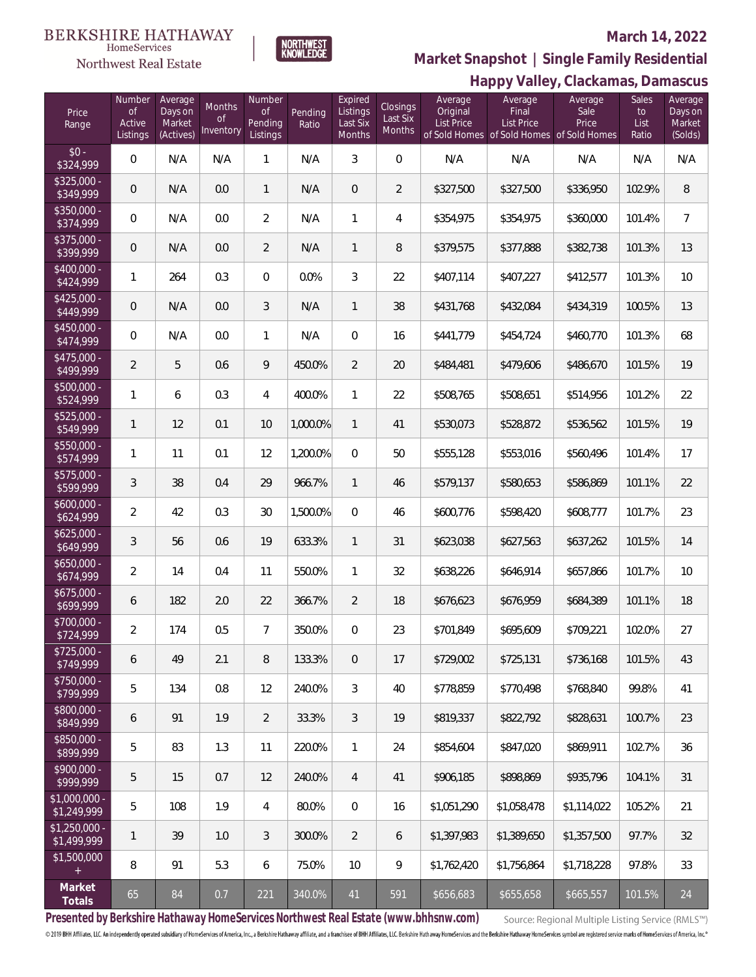Northwest Real Estate



#### **March 14, 2022**

**Happy Valley, Clackamas, Damascus Market Snapshot | Single Family Residential**

| Price<br>Range                | Number<br><b>of</b><br>Active<br>Listings | Average<br>Days on<br>Market<br>(Actives) | Months<br><sub>of</sub><br>Inventory | Number<br><b>of</b><br>Pending<br>Listings | Pending<br>Ratio | Expired<br>Listings<br>Last Six<br>Months | <b>Closings</b><br>Last Six<br>Months | Average<br>Original<br><b>List Price</b> | ע דודי<br>Average<br>Final<br>List Price<br>of Sold Homes of Sold Homes of Sold Homes | Average<br>Sale<br>Price | <b>Sales</b><br>to<br>List<br>Ratio | Average<br>Days on<br>Market<br>(Solds) |
|-------------------------------|-------------------------------------------|-------------------------------------------|--------------------------------------|--------------------------------------------|------------------|-------------------------------------------|---------------------------------------|------------------------------------------|---------------------------------------------------------------------------------------|--------------------------|-------------------------------------|-----------------------------------------|
| $$0 -$<br>\$324,999           | $\mathbf 0$                               | N/A                                       | N/A                                  | 1                                          | N/A              | $\mathfrak{Z}$                            | $\mathbf 0$                           | N/A                                      | N/A                                                                                   | N/A                      | N/A                                 | N/A                                     |
| \$325,000 -<br>\$349,999      | $\mathbf 0$                               | N/A                                       | 0.0                                  | $\mathbf{1}$                               | N/A              | $\mathbf 0$                               | $\overline{2}$                        | \$327,500                                | \$327,500                                                                             | \$336,950                | 102.9%                              | 8                                       |
| \$350,000 -<br>\$374,999      | 0                                         | N/A                                       | 0.0                                  | $\overline{2}$                             | N/A              | $\mathbf{1}$                              | 4                                     | \$354,975                                | \$354,975                                                                             | \$360,000                | 101.4%                              | $\overline{7}$                          |
| \$375,000 -<br>\$399,999      | $\mathbf 0$                               | N/A                                       | 0.0                                  | $\overline{2}$                             | N/A              | $\mathbf{1}$                              | 8                                     | \$379,575                                | \$377,888                                                                             | \$382,738                | 101.3%                              | 13                                      |
| \$400,000 -<br>\$424,999      | $\mathbf{1}$                              | 264                                       | 0.3                                  | 0                                          | 0.0%             | 3                                         | 22                                    | \$407,114                                | \$407,227                                                                             | \$412,577                | 101.3%                              | 10                                      |
| $$425,000 -$<br>\$449,999     | $\mathbf 0$                               | N/A                                       | 0.0                                  | 3                                          | N/A              | $\mathbf{1}$                              | 38                                    | \$431,768                                | \$432,084                                                                             | \$434,319                | 100.5%                              | 13                                      |
| $$450,000 -$<br>\$474,999     | 0                                         | N/A                                       | 0.0                                  | 1                                          | N/A              | 0                                         | 16                                    | \$441,779                                | \$454,724                                                                             | \$460,770                | 101.3%                              | 68                                      |
| $$475,000 -$<br>\$499,999     | $\overline{2}$                            | 5                                         | 0.6                                  | 9                                          | 450.0%           | $\overline{2}$                            | 20                                    | \$484,481                                | \$479,606                                                                             | \$486,670                | 101.5%                              | 19                                      |
| \$500,000 -<br>\$524,999      | 1                                         | 6                                         | 0.3                                  | 4                                          | 400.0%           | 1                                         | 22                                    | \$508,765                                | \$508,651                                                                             | \$514,956                | 101.2%                              | 22                                      |
| \$525,000 -<br>\$549,999      | $\mathbf{1}$                              | 12                                        | 0.1                                  | 10                                         | 1,000.0%         | $\mathbf{1}$                              | 41                                    | \$530,073                                | \$528,872                                                                             | \$536,562                | 101.5%                              | $19$                                    |
| $5550,000 -$<br>\$574,999     | $\mathbf{1}$                              | 11                                        | 0.1                                  | 12                                         | 1,200.0%         | 0                                         | 50                                    | \$555,128                                | \$553,016                                                                             | \$560,496                | 101.4%                              | 17                                      |
| \$575,000 -<br>\$599,999      | 3                                         | 38                                        | 0.4                                  | 29                                         | 966.7%           | $\mathbf{1}$                              | 46                                    | \$579,137                                | \$580,653                                                                             | \$586,869                | 101.1%                              | 22                                      |
| \$600,000 -<br>\$624,999      | $\overline{2}$                            | 42                                        | 0.3                                  | 30                                         | 1,500.0%         | 0                                         | 46                                    | \$600,776                                | \$598,420                                                                             | \$608,777                | 101.7%                              | 23                                      |
| $$625,000 -$<br>\$649,999     | 3                                         | 56                                        | 0.6                                  | 19                                         | 633.3%           | $\mathbf{1}$                              | 31                                    | \$623,038                                | \$627,563                                                                             | \$637,262                | 101.5%                              | 14                                      |
| \$650,000 -<br>\$674,999      | $\overline{2}$                            | 14                                        | 0.4                                  | 11                                         | 550.0%           | 1                                         | 32                                    | \$638,226                                | \$646,914                                                                             | \$657,866                | 101.7%                              | 10                                      |
| \$675,000 -<br>\$699,999      | 6                                         | 182                                       | 2.0                                  | 22                                         | 366.7%           | 2                                         | 18                                    | \$676,623                                | \$676,959                                                                             | \$684,389                | 101.1%                              | 18                                      |
| \$700,000 -<br>\$724,999      | $\overline{2}$                            | 174                                       | 0.5                                  | 7                                          | 350.0%           | 0                                         | 23                                    | \$701,849                                | \$695,609                                                                             | \$709,221                | 102.0%                              | 27                                      |
| \$725,000 -<br>\$749,999      | 6                                         | 49                                        | 2.1                                  | 8                                          | 133.3%           | $\overline{0}$                            | 17                                    | \$729,002                                | \$725.131                                                                             | \$736,168                | 101.5%                              | 43                                      |
| \$750,000 -<br>\$799,999      | 5                                         | 134                                       | 0.8                                  | 12                                         | 240.0%           | 3                                         | 40                                    | \$778,859                                | \$770,498                                                                             | \$768,840                | 99.8%                               | 41                                      |
| \$800,000 -<br>\$849,999      | 6                                         | 91                                        | 1.9                                  | $\overline{2}$                             | 33.3%            | 3                                         | 19                                    | \$819,337                                | \$822,792                                                                             | \$828,631                | 100.7%                              | 23                                      |
| \$850,000 -<br>\$899,999      | 5                                         | 83                                        | 1.3                                  | 11                                         | 220.0%           | $\mathbf{1}$                              | 24                                    | \$854,604                                | \$847,020                                                                             | \$869,911                | 102.7%                              | 36                                      |
| $$900,000 -$<br>\$999,999     | 5                                         | 15                                        | 0.7                                  | 12                                         | 240.0%           | $\overline{4}$                            | 41                                    | \$906,185                                | \$898,869                                                                             | \$935,796                | 104.1%                              | 31                                      |
| $$1,000,000$ -<br>\$1,249,999 | 5                                         | 108                                       | 1.9                                  | 4                                          | 80.0%            | 0                                         | 16                                    | \$1,051,290                              | \$1,058,478                                                                           | \$1,114,022              | 105.2%                              | 21                                      |
| $$1,250,000 -$<br>\$1,499,999 | $\mathbf{1}$                              | 39                                        | 1.0                                  | 3                                          | 300.0%           | $\overline{2}$                            | 6                                     | \$1,397,983                              | \$1,389,650                                                                           | \$1,357,500              | 97.7%                               | 32                                      |
| \$1,500,000<br>$+$            | 8                                         | 91                                        | 5.3                                  | 6                                          | 75.0%            | 10                                        | 9                                     | \$1,762,420                              | \$1,756,864                                                                           | \$1,718,228              | 97.8%                               | 33                                      |
| Market<br>Totals              | 65                                        | 84                                        | 0.7                                  | 221                                        | 340.0%           | 41                                        | 591                                   | \$656,683                                | \$655,658                                                                             | \$665,557                | 101.5%                              | 24                                      |

**Presented by Berkshire Hathaway HomeServices Northwest Real Estate (www.bhhsnw.com)**

Source: Regional Multiple Listing Service (RMLS™)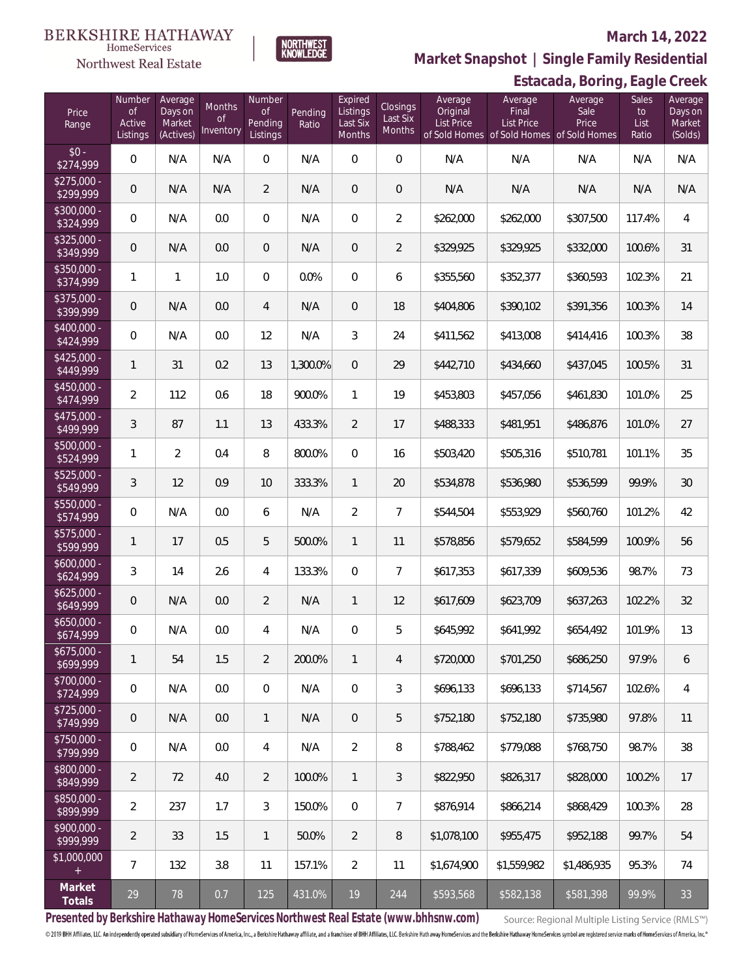### Northwest Real Estate

### **March 14, 2022**



### **Estacada, Boring, Eagle Creek Market Snapshot | Single Family Residential**

| Price<br>Range            | Number<br><b>of</b><br>Active<br>Listings | Average<br>Days on<br>Market<br>(Actives) | <b>Months</b><br><b>of</b><br>Inventory | Number<br><b>of</b><br>Pending<br>Listings | Pending<br>Ratio | Expired<br>Listings<br>Last Six<br>Months | Closings<br>Last Six<br>Months | Average<br>Original<br><b>List Price</b> | Average<br>Final<br>List Price<br>of Sold Homes of Sold Homes of Sold Homes | Average<br>Sale<br>Price | $-9.5$<br>Sales<br>to<br>List<br>Ratio | Average<br>Days on<br>Market<br>(Solds) |
|---------------------------|-------------------------------------------|-------------------------------------------|-----------------------------------------|--------------------------------------------|------------------|-------------------------------------------|--------------------------------|------------------------------------------|-----------------------------------------------------------------------------|--------------------------|----------------------------------------|-----------------------------------------|
| $$0 -$<br>\$274,999       | $\mathsf{O}\xspace$                       | N/A                                       | N/A                                     | $\mathbf 0$                                | N/A              | $\boldsymbol{0}$                          | $\mathsf{O}\xspace$            | N/A                                      | N/A                                                                         | N/A                      | N/A                                    | N/A                                     |
| $$275,000 -$<br>\$299,999 | $\mathbf 0$                               | N/A                                       | N/A                                     | $\overline{2}$                             | N/A              | $\mathbf 0$                               | $\overline{0}$                 | N/A                                      | N/A                                                                         | N/A                      | N/A                                    | N/A                                     |
| \$300,000 -<br>\$324,999  | 0                                         | N/A                                       | 0.0                                     | $\overline{0}$                             | N/A              | $\boldsymbol{0}$                          | $\overline{2}$                 | \$262,000                                | \$262,000                                                                   | \$307,500                | 117.4%                                 | $\overline{4}$                          |
| \$325,000 -<br>\$349,999  | $\mathbf 0$                               | N/A                                       | 0.0                                     | $\mathbf 0$                                | N/A              | $\boldsymbol{0}$                          | $\overline{2}$                 | \$329,925                                | \$329,925                                                                   | \$332,000                | 100.6%                                 | 31                                      |
| \$350,000 -<br>\$374,999  | 1                                         | $\mathbf{1}$                              | 1.0                                     | $\mathbf 0$                                | 0.0%             | $\boldsymbol{0}$                          | 6                              | \$355,560                                | \$352,377                                                                   | \$360,593                | 102.3%                                 | 21                                      |
| \$375,000 -<br>\$399,999  | $\mathbf 0$                               | N/A                                       | 0.0                                     | $\overline{4}$                             | N/A              | $\boldsymbol{0}$                          | 18                             | \$404,806                                | \$390,102                                                                   | \$391,356                | 100.3%                                 | 14                                      |
| \$400,000 -<br>\$424,999  | $\overline{0}$                            | N/A                                       | 0.0                                     | 12                                         | N/A              | $\mathfrak{Z}$                            | 24                             | \$411,562                                | \$413,008                                                                   | \$414,416                | 100.3%                                 | 38                                      |
| $$425,000 -$<br>\$449,999 | $\mathbf{1}$                              | 31                                        | 0.2                                     | 13                                         | 1,300.0%         | $\boldsymbol{0}$                          | 29                             | \$442,710                                | \$434,660                                                                   | \$437,045                | 100.5%                                 | 31                                      |
| $$450,000 -$<br>\$474,999 | $\overline{2}$                            | 112                                       | 0.6                                     | 18                                         | 900.0%           | $\mathbf{1}$                              | 19                             | \$453,803                                | \$457,056                                                                   | \$461,830                | 101.0%                                 | 25                                      |
| $$475,000 -$<br>\$499,999 | 3                                         | 87                                        | 1.1                                     | 13                                         | 433.3%           | $\overline{2}$                            | 17                             | \$488,333                                | \$481,951                                                                   | \$486,876                | 101.0%                                 | 27                                      |
| $$500,000 -$<br>\$524,999 | 1                                         | $\overline{2}$                            | 0.4                                     | 8                                          | 800.0%           | $\boldsymbol{0}$                          | 16                             | \$503,420                                | \$505,316                                                                   | \$510,781                | 101.1%                                 | 35                                      |
| $$525,000 -$<br>\$549,999 | 3                                         | 12                                        | 0.9                                     | 10                                         | 333.3%           | $\mathbf{1}$                              | 20                             | \$534,878                                | \$536,980                                                                   | \$536,599                | 99.9%                                  | 30                                      |
| $5550,000 -$<br>\$574,999 | 0                                         | N/A                                       | 0.0                                     | 6                                          | N/A              | $\overline{2}$                            | 7                              | \$544,504                                | \$553,929                                                                   | \$560,760                | 101.2%                                 | 42                                      |
| $$575,000 -$<br>\$599,999 | 1                                         | 17                                        | 0.5                                     | 5                                          | 500.0%           | $\mathbf{1}$                              | 11                             | \$578,856                                | \$579,652                                                                   | \$584,599                | 100.9%                                 | 56                                      |
| \$600,000 -<br>\$624,999  | 3                                         | 14                                        | 2.6                                     | 4                                          | 133.3%           | $\boldsymbol{0}$                          | 7                              | \$617,353                                | \$617,339                                                                   | \$609,536                | 98.7%                                  | 73                                      |
| $$625,000 -$<br>\$649,999 | 0                                         | N/A                                       | 0.0                                     | $\overline{2}$                             | N/A              | $\mathbf{1}$                              | 12                             | \$617,609                                | \$623,709                                                                   | \$637,263                | 102.2%                                 | 32                                      |
| $$650,000 -$<br>\$674,999 | 0                                         | N/A                                       | 0.0                                     | 4                                          | N/A              | $\boldsymbol{0}$                          | 5                              | \$645,992                                | \$641,992                                                                   | \$654,492                | 101.9%                                 | 13                                      |
| $$675,000 -$<br>\$699,999 | 1                                         | 54                                        | 1.5                                     | $\overline{2}$                             | 200.0%           | $\mathbf{1}$                              | $\overline{4}$                 | \$720,000                                | \$701,250                                                                   | \$686,250                | 97.9%                                  | 6                                       |
| \$700,000 -<br>\$724,999  | 0                                         | N/A                                       | 0.0                                     | $\overline{0}$                             | N/A              | $\overline{0}$                            | 3                              | \$696,133                                | \$696,133                                                                   | \$714,567                | 102.6%                                 | $\overline{4}$                          |
| $$725,000 -$<br>\$749,999 | $\overline{0}$                            | N/A                                       | 0.0                                     | $\mathbf{1}$                               | N/A              | $\mathbf 0$                               | 5                              | \$752,180                                | \$752,180                                                                   | \$735,980                | 97.8%                                  | 11                                      |
| \$750,000 -<br>\$799,999  | $\mathbf 0$                               | N/A                                       | 0.0                                     | 4                                          | N/A              | $\overline{2}$                            | 8                              | \$788,462                                | \$779,088                                                                   | \$768,750                | 98.7%                                  | 38                                      |
| \$800,000 -<br>\$849,999  | $\overline{2}$                            | 72                                        | 4.0                                     | $\overline{2}$                             | 100.0%           | $\mathbf{1}$                              | 3                              | \$822,950                                | \$826,317                                                                   | \$828,000                | 100.2%                                 | 17                                      |
| \$850,000 -<br>\$899,999  | $\overline{2}$                            | 237                                       | 1.7                                     | 3                                          | 150.0%           | $\overline{0}$                            | $\overline{7}$                 | \$876,914                                | \$866,214                                                                   | \$868,429                | 100.3%                                 | 28                                      |
| \$900,000 -<br>\$999,999  | $\overline{2}$                            | 33                                        | 1.5                                     | $\mathbf{1}$                               | 50.0%            | $\overline{2}$                            | 8                              | \$1,078,100                              | \$955,475                                                                   | \$952,188                | 99.7%                                  | 54                                      |
| \$1,000,000<br>$+$        | $\overline{7}$                            | 132                                       | 3.8                                     | 11                                         | 157.1%           | $\overline{2}$                            | 11                             | \$1,674,900                              | \$1,559,982                                                                 | \$1,486,935              | 95.3%                                  | 74                                      |
| Market<br>Totals          | 29                                        | 78                                        | 0.7                                     | 125                                        | 431.0%           | 19                                        | 244                            | \$593,568                                | \$582,138                                                                   | \$581,398                | 99.9%                                  | 33                                      |

**Presented by Berkshire Hathaway HomeServices Northwest Real Estate (www.bhhsnw.com)**

Source: Regional Multiple Listing Service (RMLS™)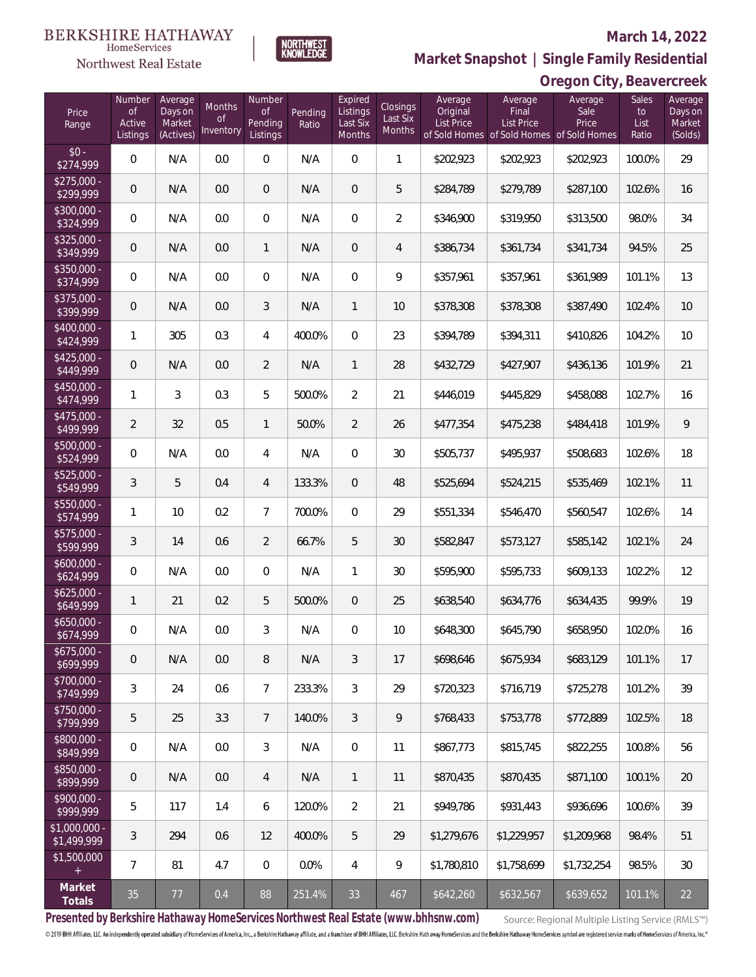#### **BERKSHIRE HATHAWAY** HomeServices

### Northwest Real Estate

### **March 14, 2022**



**Oregon City, Beavercreek Market Snapshot | Single Family Residential**

| Price<br>Range                                  | Number<br><b>of</b><br>Active<br>Listings | Average<br>Days on<br>Market<br>(Actives) | Months<br><b>of</b><br>Inventory | Number<br><b>of</b><br>Pending<br>Listings | Pending<br>Ratio | Expired<br>Listings<br>Last Six<br><b>Months</b> | Closings<br>Last Six<br>Months | Average<br>Original<br>List Price | Average<br>Final<br>List Price<br>of Sold Homes of Sold Homes of Sold Homes | Average<br>Sale<br>Price | Sales<br>to<br>List<br>Ratio | Average<br>Days on<br>Market<br>(Solds) |
|-------------------------------------------------|-------------------------------------------|-------------------------------------------|----------------------------------|--------------------------------------------|------------------|--------------------------------------------------|--------------------------------|-----------------------------------|-----------------------------------------------------------------------------|--------------------------|------------------------------|-----------------------------------------|
| $$0 -$<br>\$274,999                             | $\mathbf{0}$                              | N/A                                       | 0.0                              | $\overline{0}$                             | N/A              | $\Omega$                                         | 1                              | \$202,923                         | \$202,923                                                                   | \$202,923                | 100.0%                       | 29                                      |
| $$275,000 -$<br>\$299,999                       | $\overline{0}$                            | N/A                                       | 0.0                              | $\overline{0}$                             | N/A              | $\Omega$                                         | 5                              | \$284,789                         | \$279,789                                                                   | \$287,100                | 102.6%                       | 16                                      |
| \$300,000 -<br>\$324,999                        | $\overline{0}$                            | N/A                                       | 0.0                              | $\overline{0}$                             | N/A              | $\Omega$                                         | $\overline{2}$                 | \$346,900                         | \$319,950                                                                   | \$313,500                | 98.0%                        | 34                                      |
| \$325,000 -<br>\$349,999                        | $\overline{0}$                            | N/A                                       | 0.0                              | $\mathbf{1}$                               | N/A              | $\overline{0}$                                   | $\overline{4}$                 | \$386,734                         | \$361,734                                                                   | \$341,734                | 94.5%                        | 25                                      |
| $$350,000 -$<br>\$374,999                       | $\overline{0}$                            | N/A                                       | 0.0                              | $\overline{0}$                             | N/A              | $\overline{0}$                                   | 9                              | \$357,961                         | \$357,961                                                                   | \$361,989                | 101.1%                       | 13                                      |
| \$375,000 -<br>\$399,999                        | $\overline{0}$                            | N/A                                       | 0.0                              | 3                                          | N/A              | $\mathbf{1}$                                     | 10                             | \$378,308                         | \$378,308                                                                   | \$387,490                | 102.4%                       | 10                                      |
| \$400,000 -<br>\$424,999                        | $\mathbf{1}$                              | 305                                       | 0.3                              | 4                                          | 400.0%           | $\Omega$                                         | 23                             | \$394,789                         | \$394,311                                                                   | \$410,826                | 104.2%                       | 10                                      |
| $$425,000 -$<br>\$449,999                       | $\overline{0}$                            | N/A                                       | 0.0                              | $\overline{2}$                             | N/A              | $\mathbf{1}$                                     | 28                             | \$432,729                         | \$427,907                                                                   | \$436,136                | 101.9%                       | 21                                      |
| $$450,000 -$<br>\$474,999                       | $\mathbf{1}$                              | 3                                         | 0.3                              | 5                                          | 500.0%           | $\overline{2}$                                   | 21                             | \$446,019                         | \$445,829                                                                   | \$458,088                | 102.7%                       | 16                                      |
| $$475,000 -$<br>\$499,999                       | $\overline{2}$                            | 32                                        | 0.5                              | $\mathbf{1}$                               | 50.0%            | $\overline{2}$                                   | 26                             | \$477,354                         | \$475,238                                                                   | \$484,418                | 101.9%                       | $\mathcal{Q}$                           |
| \$500,000 -<br>\$524,999                        | $\overline{0}$                            | N/A                                       | 0.0                              | 4                                          | N/A              | $\Omega$                                         | 30                             | \$505,737                         | \$495,937                                                                   | \$508,683                | 102.6%                       | 18                                      |
| $$525,000 -$<br>\$549,999                       | $\mathfrak{Z}$                            | 5                                         | 0.4                              | $\overline{4}$                             | 133.3%           | $\Omega$                                         | 48                             | \$525,694                         | \$524,215                                                                   | \$535,469                | 102.1%                       | 11                                      |
| \$550,000 -<br>\$574,999                        | $\mathbf{1}$                              | 10                                        | 0.2                              | $\overline{7}$                             | 700.0%           | $\Omega$                                         | 29                             | \$551,334                         | \$546,470                                                                   | \$560,547                | 102.6%                       | 14                                      |
| $$575,000 -$<br>\$599,999                       | $\mathfrak{Z}$                            | 14                                        | 0.6                              | $\overline{2}$                             | 66.7%            | 5                                                | 30                             | \$582,847                         | \$573,127                                                                   | \$585,142                | 102.1%                       | 24                                      |
| $$600,000 -$<br>\$624,999                       | 0                                         | N/A                                       | 0.0                              | 0                                          | N/A              | $\mathbf{1}$                                     | 30                             | \$595,900                         | \$595,733                                                                   | \$609,133                | 102.2%                       | 12                                      |
| $$625,000 -$<br>\$649,999                       | $\mathbf{1}$                              | 21                                        | 0.2                              | 5                                          | 500.0%           | $\overline{0}$                                   | 25                             | \$638,540                         | \$634,776                                                                   | \$634,435                | 99.9%                        | 19                                      |
| $$650,000 -$<br>\$674,999                       | $\boldsymbol{0}$                          | N/A                                       | 0.0                              | 3                                          | N/A              | 0                                                | 10                             | \$648,300                         | \$645,790                                                                   | \$658,950                | 102.0%                       | 16                                      |
| $$675,000 -$<br>\$699,999                       | $\mathbf 0$                               | N/A                                       | 0.0                              | 8                                          | N/A              | 3                                                | 17                             | \$698,646                         | \$675,934                                                                   | \$683,129                | 101.1%                       | 17                                      |
| \$700,000 -<br>\$749,999                        | $\mathfrak{Z}$                            | 24                                        | 0.6                              | $7\overline{ }$                            | 233.3%           | $\mathfrak{Z}$                                   | 29                             | \$720,323                         | \$716,719                                                                   | \$725,278                | 101.2%                       | 39                                      |
| \$750,000 -<br>\$799,999                        | 5                                         | 25                                        | 3.3                              | $\overline{7}$                             | 140.0%           | 3                                                | 9                              | \$768,433                         | \$753,778                                                                   | \$772,889                | 102.5%                       | 18                                      |
| \$800,000 -<br>\$849,999                        | $\boldsymbol{0}$                          | N/A                                       | 0.0                              | 3                                          | N/A              | $\overline{0}$                                   | 11                             | \$867,773                         | \$815,745                                                                   | \$822,255                | 100.8%                       | 56                                      |
| \$850,000 -<br>\$899,999                        | $\mathbf 0$                               | N/A                                       | 0.0                              | $\overline{4}$                             | N/A              | $\mathbf{1}$                                     | 11                             | \$870,435                         | \$870,435                                                                   | \$871,100                | 100.1%                       | 20                                      |
| \$900,000 -<br>\$999,999                        | 5                                         | 117                                       | 1.4                              | 6                                          | 120.0%           | $\overline{2}$                                   | 21                             | \$949,786                         | \$931,443                                                                   | \$936,696                | 100.6%                       | 39                                      |
| \$1,000,000 -<br>\$1,499,999                    | 3                                         | 294                                       | 0.6                              | 12                                         | 400.0%           | 5                                                | 29                             | \$1,279,676                       | \$1,229,957                                                                 | \$1,209,968              | 98.4%                        | 51                                      |
| \$1,500,000<br>$\begin{array}{c} + \end{array}$ | $7\overline{ }$                           | 81                                        | 4.7                              | 0                                          | 0.0%             | $\overline{4}$                                   | 9                              | \$1,780,810                       | \$1,758,699                                                                 | \$1,732,254              | 98.5%                        | 30                                      |
| Market<br>Totals                                | 35                                        | $77\,$                                    | 0.4                              | 88                                         | 251.4%           | 33                                               | 467                            | \$642,260                         | \$632,567                                                                   | \$639,652                | 101.1%                       | 22                                      |

**Presented by Berkshire Hathaway HomeServices Northwest Real Estate (www.bhhsnw.com)**

Source: Regional Multiple Listing Service (RMLS™)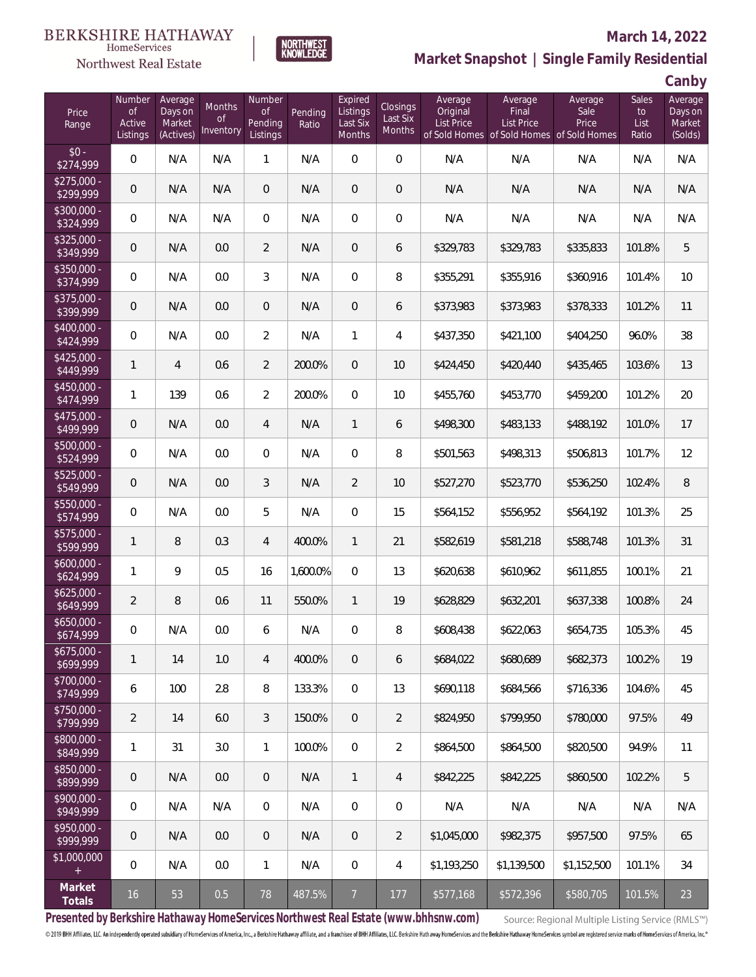### Northwest Real Estate

### **March 14, 2022**



### **Market Snapshot | Single Family Residential**

**Canby**

| Price<br>Range                       | Number<br><b>of</b><br>Active<br>Listings | Average<br>Days on<br>Market<br>(Actives) | <b>Months</b><br><b>of</b><br>Inventory | Number<br><b>of</b><br>Pending<br>Listings | Pending<br>Ratio | Expired<br>Listings<br>Last Six<br>Months | Closings<br>Last Six<br>Months | Average<br>Original<br>List Price | Average<br>Final<br><b>List Price</b><br>of Sold Homes of Sold Homes of Sold Homes | Average<br>Sale<br>Price | <b>Sales</b><br>to<br>List<br>Ratio | Average<br>Days on<br>Market<br>(Solds) |
|--------------------------------------|-------------------------------------------|-------------------------------------------|-----------------------------------------|--------------------------------------------|------------------|-------------------------------------------|--------------------------------|-----------------------------------|------------------------------------------------------------------------------------|--------------------------|-------------------------------------|-----------------------------------------|
| $$0 -$<br>\$274,999                  | $\overline{0}$                            | N/A                                       | N/A                                     | 1                                          | N/A              | $\Omega$                                  | $\overline{0}$                 | N/A                               | N/A                                                                                | N/A                      | N/A                                 | N/A                                     |
| $$275,000 -$<br>\$299,999            | $\overline{0}$                            | N/A                                       | N/A                                     | $\mathbf{0}$                               | N/A              | $\overline{0}$                            | $\overline{0}$                 | N/A                               | N/A                                                                                | N/A                      | N/A                                 | N/A                                     |
| \$300,000 -<br>\$324,999             | $\overline{0}$                            | N/A                                       | N/A                                     | $\overline{0}$                             | N/A              | $\Omega$                                  | $\overline{0}$                 | N/A                               | N/A                                                                                | N/A                      | N/A                                 | N/A                                     |
| \$325,000 -<br>\$349,999             | $\overline{0}$                            | N/A                                       | 0.0                                     | $\overline{2}$                             | N/A              | $\overline{0}$                            | 6                              | \$329,783                         | \$329,783                                                                          | \$335,833                | 101.8%                              | 5                                       |
| $$350,000 -$<br>\$374,999            | $\overline{0}$                            | N/A                                       | 0.0                                     | 3                                          | N/A              | $\Omega$                                  | 8                              | \$355,291                         | \$355,916                                                                          | \$360,916                | 101.4%                              | 10                                      |
| $$375,000 -$<br>\$399,999            | $\overline{0}$                            | N/A                                       | 0.0                                     | $\overline{0}$                             | N/A              | $\overline{0}$                            | 6                              | \$373,983                         | \$373,983                                                                          | \$378,333                | 101.2%                              | 11                                      |
| $$400,000 -$<br>\$424,999            | $\overline{0}$                            | N/A                                       | 0.0                                     | $\overline{2}$                             | N/A              | $\mathbf{1}$                              | 4                              | \$437,350                         | \$421,100                                                                          | \$404,250                | 96.0%                               | 38                                      |
| $$425,000 -$<br>\$449,999            | $\mathbf{1}$                              | $\overline{4}$                            | 0.6                                     | $\overline{2}$                             | 200.0%           | $\overline{0}$                            | 10                             | \$424,450                         | \$420,440                                                                          | \$435,465                | 103.6%                              | 13                                      |
| $$450,000 -$<br>\$474,999            | $\mathbf{1}$                              | 139                                       | 0.6                                     | $\overline{2}$                             | 200.0%           | $\Omega$                                  | 10                             | \$455,760                         | \$453,770                                                                          | \$459,200                | 101.2%                              | 20                                      |
| $$475,000 -$<br>\$499,999            | 0                                         | N/A                                       | 0.0                                     | $\overline{4}$                             | N/A              | $\mathbf{1}$                              | 6                              | \$498,300                         | \$483,133                                                                          | \$488,192                | 101.0%                              | 17                                      |
| \$500,000 -<br>\$524,999             | $\overline{0}$                            | N/A                                       | 0.0                                     | $\overline{0}$                             | N/A              | $\overline{0}$                            | 8                              | \$501,563                         | \$498,313                                                                          | \$506,813                | 101.7%                              | 12                                      |
| \$525,000 -<br>\$549,999             | $\overline{0}$                            | N/A                                       | 0.0                                     | 3                                          | N/A              | $\overline{2}$                            | 10                             | \$527,270                         | \$523,770                                                                          | \$536,250                | 102.4%                              | 8                                       |
| \$550,000 -<br>\$574,999             | $\overline{0}$                            | N/A                                       | 0.0                                     | 5                                          | N/A              | $\overline{0}$                            | 15                             | \$564,152                         | \$556,952                                                                          | \$564,192                | 101.3%                              | 25                                      |
| $$575,000 -$<br>\$599,999            | $\mathbf{1}$                              | 8                                         | 0.3                                     | $\overline{4}$                             | 400.0%           | $\mathbf{1}$                              | 21                             | \$582,619                         | \$581,218                                                                          | \$588,748                | 101.3%                              | 31                                      |
| $$600,000 -$<br>\$624,999            | 1                                         | 9                                         | 0.5                                     | 16                                         | 1,600.0%         | $\mathbf{0}$                              | 13                             | \$620,638                         | \$610,962                                                                          | \$611,855                | 100.1%                              | 21                                      |
| $$625,000 -$<br>\$649,999            | $\overline{2}$                            | 8                                         | 0.6                                     | 11                                         | 550.0%           | $\mathbf{1}$                              | 19                             | \$628,829                         | \$632,201                                                                          | \$637,338                | 100.8%                              | 24                                      |
| $$650,000 -$<br>\$674,999            | 0                                         | N/A                                       | 0.0                                     | 6                                          | N/A              | $\mathbf{0}$                              | 8                              | \$608,438                         | \$622,063                                                                          | \$654,735                | 105.3%                              | 45                                      |
| $\overline{$675,000}$ -<br>\$699,999 | $\mathbf{1}$                              | 14                                        | 1.0                                     | $\overline{4}$                             | 400.0%           | $\overline{0}$                            | 6                              | \$684,022                         | \$680,689                                                                          | \$682,373                | 100.2%                              | 19                                      |
| $$700,000 -$<br>\$749,999            | 6                                         | 100                                       | 2.8                                     | 8                                          | 133.3%           | $\mathbf 0$                               | 13                             | \$690,118                         | \$684,566                                                                          | \$716,336                | 104.6%                              | 45                                      |
| \$750,000 -<br>\$799,999             | $\overline{2}$                            | 14                                        | 6.0                                     | 3                                          | 150.0%           | $\overline{0}$                            | $\overline{2}$                 | \$824,950                         | \$799,950                                                                          | \$780,000                | 97.5%                               | 49                                      |
| \$800,000 -<br>\$849,999             | 1                                         | 31                                        | 3.0                                     | $\mathbf{1}$                               | 100.0%           | $\mathbf 0$                               | $\overline{2}$                 | \$864,500                         | \$864,500                                                                          | \$820,500                | 94.9%                               | 11                                      |
| \$850,000 -<br>\$899,999             | $\mathbf 0$                               | N/A                                       | 0.0                                     | $\mathbf{0}$                               | N/A              | $\mathbf{1}$                              | $\overline{4}$                 | \$842,225                         | \$842,225                                                                          | \$860,500                | 102.2%                              | 5                                       |
| \$900,000 -<br>\$949,999             | 0                                         | N/A                                       | N/A                                     | $\mathbf 0$                                | N/A              | $\mathbf 0$                               | $\mathbf 0$                    | N/A                               | N/A                                                                                | N/A                      | N/A                                 | N/A                                     |
| \$950,000 -<br>\$999,999             | $\mathbf 0$                               | N/A                                       | 0.0                                     | $\mathbf{0}$                               | N/A              | $\overline{0}$                            | $\overline{2}$                 | \$1,045,000                       | \$982,375                                                                          | \$957,500                | 97.5%                               | 65                                      |
| \$1,000,000<br>$+$                   | $\,0\,$                                   | N/A                                       | 0.0                                     | $\mathbf{1}$                               | N/A              | $\mathbf 0$                               | 4                              | \$1,193,250                       | \$1,139,500                                                                        | \$1,152,500              | 101.1%                              | 34                                      |
| Market<br>Totals                     | 16                                        | 53                                        | 0.5                                     | 78                                         | 487.5%           | $\overline{7}$                            | 177                            | \$577,168                         | \$572,396                                                                          | \$580,705                | 101.5%                              | 23                                      |

**Presented by Berkshire Hathaway HomeServices Northwest Real Estate (www.bhhsnw.com)**

Source: Regional Multiple Listing Service (RMLS™)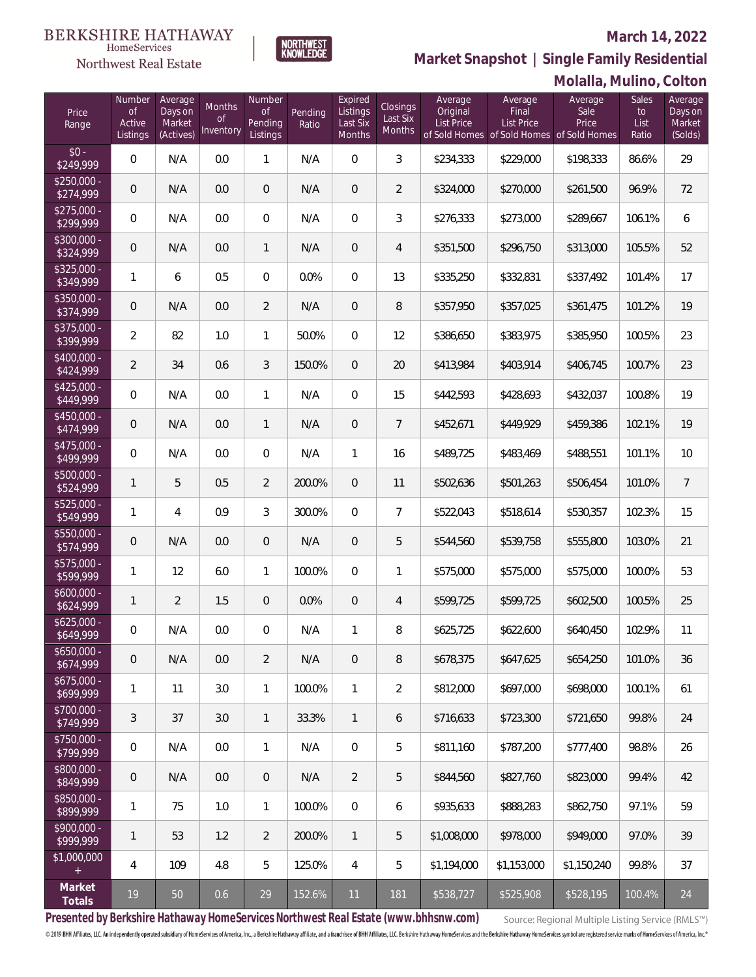### Northwest Real Estate

### **March 14, 2022**



**Molalla, Mulino, Colton Market Snapshot | Single Family Residential**

| Price<br>Range            | Number<br><b>of</b><br>Active<br>Listings | Average<br>Days on<br>Market<br>(Actives) | Months<br>Οf<br>Inventory | Number<br>Οf<br>Pending<br>Listings | Pending<br>Ratio | Expired<br>Listings<br>Last Six<br>Months | <b>Closings</b><br>Last Six<br><b>Months</b> | Average<br>Original<br><b>List Price</b> | Average<br>Final<br><b>List Price</b><br>of Sold Homes of Sold Homes of Sold Homes | Average<br>Sale<br>Price | <b>Sales</b><br>to<br>List<br>Ratio | Average<br>Days on<br>Market<br>(Solds) |
|---------------------------|-------------------------------------------|-------------------------------------------|---------------------------|-------------------------------------|------------------|-------------------------------------------|----------------------------------------------|------------------------------------------|------------------------------------------------------------------------------------|--------------------------|-------------------------------------|-----------------------------------------|
| $$0 -$<br>\$249,999       | $\mathbf{0}$                              | N/A                                       | 0.0                       | $\mathbf{1}$                        | N/A              | $\overline{0}$                            | 3                                            | \$234,333                                | \$229,000                                                                          | \$198,333                | 86.6%                               | 29                                      |
| $$250.000 -$<br>\$274,999 | 0                                         | N/A                                       | 0.0                       | $\overline{0}$                      | N/A              | $\mathbf{0}$                              | $\overline{2}$                               | \$324,000                                | \$270,000                                                                          | \$261,500                | 96.9%                               | 72                                      |
| $$275.000 -$<br>\$299,999 | $\mathbf 0$                               | N/A                                       | 0.0                       | $\mathbf{0}$                        | N/A              | $\Omega$                                  | 3                                            | \$276,333                                | \$273,000                                                                          | \$289,667                | 106.1%                              | 6                                       |
| $$300,000 -$<br>\$324,999 | 0                                         | N/A                                       | 0.0                       | $\mathbf{1}$                        | N/A              | $\overline{0}$                            | 4                                            | \$351,500                                | \$296,750                                                                          | \$313,000                | 105.5%                              | 52                                      |
| $$325,000 -$<br>\$349,999 | 1                                         | 6                                         | 0.5                       | $\mathbf{0}$                        | 0.0%             | $\overline{0}$                            | 13                                           | \$335,250                                | \$332,831                                                                          | \$337,492                | 101.4%                              | 17                                      |
| $$350,000 -$<br>\$374,999 | 0                                         | N/A                                       | 0.0                       | $\overline{2}$                      | N/A              | $\overline{0}$                            | $\, 8$                                       | \$357,950                                | \$357,025                                                                          | \$361,475                | 101.2%                              | 19                                      |
| \$375,000 -<br>\$399,999  | 2                                         | 82                                        | 1.0                       | $\mathbf{1}$                        | 50.0%            | $\overline{0}$                            | 12                                           | \$386,650                                | \$383,975                                                                          | \$385,950                | 100.5%                              | 23                                      |
| \$400,000 -<br>\$424,999  | $\overline{2}$                            | 34                                        | 0.6                       | 3                                   | 150.0%           | $\overline{0}$                            | 20                                           | \$413,984                                | \$403,914                                                                          | \$406,745                | 100.7%                              | 23                                      |
| $$425,000 -$<br>\$449,999 | $\mathbf{0}$                              | N/A                                       | 0.0                       | $\mathbf{1}$                        | N/A              | $\overline{0}$                            | 15                                           | \$442,593                                | \$428,693                                                                          | \$432,037                | 100.8%                              | 19                                      |
| \$450,000 -<br>\$474,999  | $\overline{0}$                            | N/A                                       | 0.0                       | $\mathbf{1}$                        | N/A              | $\overline{0}$                            | $7\overline{ }$                              | \$452,671                                | \$449,929                                                                          | \$459,386                | 102.1%                              | 19                                      |
| \$475,000 -<br>\$499,999  | $\overline{0}$                            | N/A                                       | 0.0                       | $\mathbf{0}$                        | N/A              | $\mathbf{1}$                              | 16                                           | \$489,725                                | \$483,469                                                                          | \$488,551                | 101.1%                              | 10                                      |
| $$500,000 -$<br>\$524,999 | $\mathbf{1}$                              | 5                                         | 0.5                       | $\overline{2}$                      | 200.0%           | $\mathbf{0}$                              | 11                                           | \$502,636                                | \$501,263                                                                          | \$506,454                | 101.0%                              | $\overline{7}$                          |
| $$525,000 -$<br>\$549,999 | 1                                         | 4                                         | 0.9                       | 3                                   | 300.0%           | $\Omega$                                  | $\overline{7}$                               | \$522,043                                | \$518,614                                                                          | \$530,357                | 102.3%                              | 15                                      |
| \$550,000 -<br>\$574,999  | $\sqrt{2}$                                | N/A                                       | 0.0                       | $\overline{0}$                      | N/A              | $\overline{0}$                            | 5                                            | \$544,560                                | \$539,758                                                                          | \$555,800                | 103.0%                              | 21                                      |
| \$575,000 -<br>\$599,999  | 1                                         | 12                                        | 6.0                       | $\mathbf{1}$                        | 100.0%           | $\overline{0}$                            | $\mathbf{1}$                                 | \$575,000                                | \$575,000                                                                          | \$575,000                | 100.0%                              | 53                                      |
| $$600,000 -$<br>\$624,999 | $\mathbf{1}$                              | 2                                         | 1.5                       | $\mathbf 0$                         | 0.0%             | $\overline{0}$                            | 4                                            | \$599,725                                | \$599,725                                                                          | \$602,500                | 100.5%                              | 25                                      |
| $$625,000 -$<br>\$649,999 | 0                                         | N/A                                       | 0.0                       | 0                                   | N/A              | $\mathbf{1}$                              | 8                                            | \$625,725                                | \$622,600                                                                          | \$640,450                | 102.9%                              | 11                                      |
| $$650,000 -$<br>\$674,999 | $\theta$                                  | N/A                                       | 0.0                       | $\overline{2}$                      | N/A              | $\mathbf 0$                               | 8                                            | \$678,375                                | \$647,625                                                                          | \$654,250                | 101.0%                              | 36                                      |
| $$675,000 -$<br>\$699,999 | 1                                         | 11                                        | 3.0                       | $\mathbf{1}$                        | 100.0%           | $\mathbf{1}$                              | $\overline{2}$                               | \$812,000                                | \$697,000                                                                          | \$698,000                | 100.1%                              | 61                                      |
| $$700,000 -$<br>\$749,999 | 3                                         | 37                                        | 3.0                       | $\mathbf{1}$                        | 33.3%            | $\mathbf{1}$                              | 6                                            | \$716,633                                | \$723,300                                                                          | \$721,650                | 99.8%                               | 24                                      |
| \$750,000 -<br>\$799,999  | $\mathbf 0$                               | N/A                                       | 0.0                       | $\mathbf{1}$                        | N/A              | $\mathbf 0$                               | 5                                            | \$811,160                                | \$787,200                                                                          | \$777,400                | 98.8%                               | 26                                      |
| \$800,000 -<br>\$849,999  | $\mathbf 0$                               | N/A                                       | 0.0                       | 0                                   | N/A              | $\overline{2}$                            | 5                                            | \$844,560                                | \$827,760                                                                          | \$823,000                | 99.4%                               | 42                                      |
| \$850,000 -<br>\$899,999  | 1                                         | 75                                        | 1.0                       | $\mathbf{1}$                        | 100.0%           | $\mathbf 0$                               | 6                                            | \$935,633                                | \$888,283                                                                          | \$862,750                | 97.1%                               | 59                                      |
| \$900,000 -<br>\$999,999  | 1                                         | 53                                        | 1.2                       | $\overline{2}$                      | 200.0%           | $\mathbf{1}$                              | 5                                            | \$1,008,000                              | \$978,000                                                                          | \$949,000                | 97.0%                               | 39                                      |
| \$1,000,000<br>$+$        | 4                                         | 109                                       | 4.8                       | 5                                   | 125.0%           | $\overline{4}$                            | 5                                            | \$1,194,000                              | \$1,153,000                                                                        | \$1,150,240              | 99.8%                               | 37                                      |
| Market<br>Totals          | 19                                        | 50                                        | 0.6                       | 29                                  | 152.6%           | 11                                        | 181                                          | \$538,727                                | \$525,908                                                                          | \$528,195                | 100.4%                              | 24                                      |

**Presented by Berkshire Hathaway HomeServices Northwest Real Estate (www.bhhsnw.com)**

Source: Regional Multiple Listing Service (RMLS™)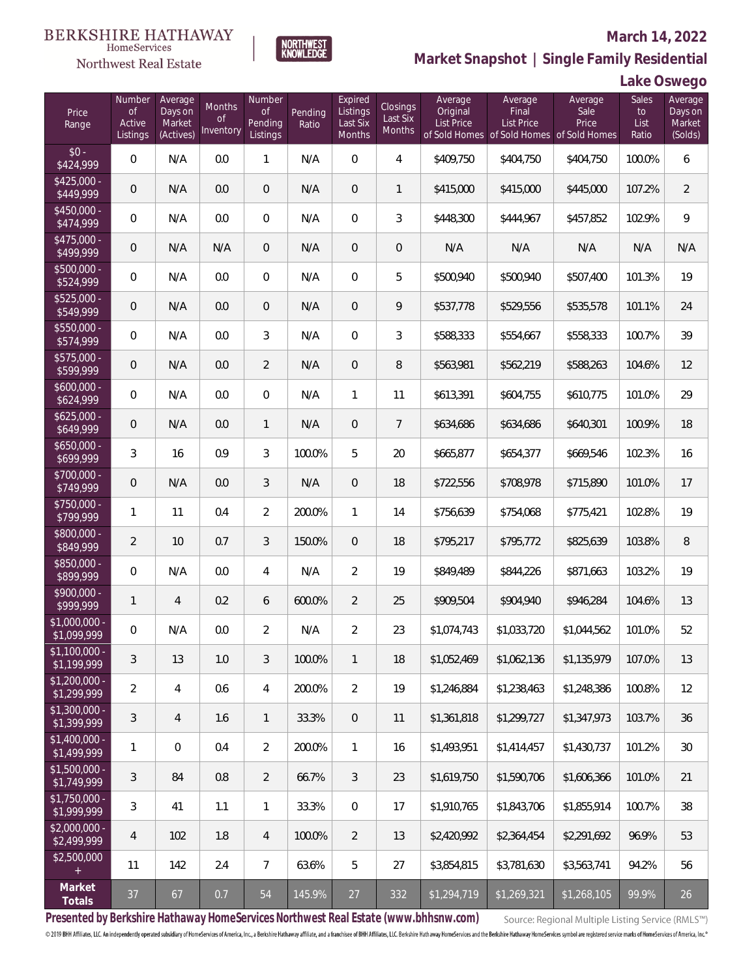### Northwest Real Estate

#### **March 14, 2022**



**NORTHWEST**<br>KNOWLEDGE

### **Lake Oswego**

| Price<br>Range                                  | Number<br><b>of</b><br>Active<br>Listings | Average<br>Days on<br>Market<br>(Actives) | <b>Months</b><br>0f<br>Inventory | Number<br><b>of</b><br>Pending<br>Listings | Pending<br>Ratio | Expired<br>Listings<br>Last Six<br>Months | Closings<br>Last Six<br>Months | Average<br>Original<br>List Price | Average<br>Final<br>List Price<br>of Sold Homes of Sold Homes of Sold Homes | Average<br>Sale<br>Price | Sales<br>to<br>List<br>Ratio | Average<br>Days on<br>Market<br>(Solds) |
|-------------------------------------------------|-------------------------------------------|-------------------------------------------|----------------------------------|--------------------------------------------|------------------|-------------------------------------------|--------------------------------|-----------------------------------|-----------------------------------------------------------------------------|--------------------------|------------------------------|-----------------------------------------|
| $$0 -$<br>\$424,999                             | $\overline{0}$                            | N/A                                       | 0.0                              | 1                                          | N/A              | $\Omega$                                  | $\overline{4}$                 | \$409,750                         | \$404,750                                                                   | \$404,750                | 100.0%                       | 6                                       |
| $$425,000 -$<br>\$449,999                       | $\overline{0}$                            | N/A                                       | 0.0                              | $\overline{0}$                             | N/A              | $\overline{0}$                            | $\mathbf{1}$                   | \$415,000                         | \$415,000                                                                   | \$445,000                | 107.2%                       | $\overline{2}$                          |
| $$450,000 -$<br>\$474,999                       | 0                                         | N/A                                       | 0.0                              | $\overline{0}$                             | N/A              | $\overline{0}$                            | 3                              | \$448,300                         | \$444,967                                                                   | \$457,852                | 102.9%                       | 9                                       |
| $$475,000 -$<br>\$499,999                       | $\overline{0}$                            | N/A                                       | N/A                              | $\overline{0}$                             | N/A              | $\overline{0}$                            | $\overline{0}$                 | N/A                               | N/A                                                                         | N/A                      | N/A                          | N/A                                     |
| $$500,000 -$<br>\$524,999                       | $\overline{0}$                            | N/A                                       | 0.0                              | $\overline{0}$                             | N/A              | $\overline{0}$                            | 5                              | \$500,940                         | \$500,940                                                                   | \$507,400                | 101.3%                       | 19                                      |
| $$525,000 -$<br>\$549,999                       | $\mathbf 0$                               | N/A                                       | 0.0                              | $\overline{0}$                             | N/A              | $\overline{0}$                            | 9                              | \$537,778                         | \$529,556                                                                   | \$535,578                | 101.1%                       | 24                                      |
| $$550,000 -$<br>\$574,999                       | 0                                         | N/A                                       | 0.0                              | 3                                          | N/A              | $\overline{0}$                            | 3                              | \$588,333                         | \$554,667                                                                   | \$558,333                | 100.7%                       | 39                                      |
| $$575,000 -$<br>\$599,999                       | $\mathbf 0$                               | N/A                                       | 0.0                              | $\overline{2}$                             | N/A              | $\overline{0}$                            | 8                              | \$563,981                         | \$562,219                                                                   | \$588,263                | 104.6%                       | 12                                      |
| $$600,000 -$<br>\$624,999                       | 0                                         | N/A                                       | 0.0                              | $\overline{0}$                             | N/A              | 1                                         | 11                             | \$613,391                         | \$604,755                                                                   | \$610,775                | 101.0%                       | 29                                      |
| $$625,000 -$<br>\$649,999                       | $\overline{0}$                            | N/A                                       | 0.0                              | $\mathbf{1}$                               | N/A              | 0                                         | $\overline{7}$                 | \$634,686                         | \$634,686                                                                   | \$640,301                | 100.9%                       | 18                                      |
| $$650,000 -$<br>\$699,999                       | 3                                         | 16                                        | 0.9                              | $\overline{3}$                             | 100.0%           | 5                                         | 20                             | \$665,877                         | \$654,377                                                                   | \$669,546                | 102.3%                       | 16                                      |
| \$700,000 -<br>\$749,999                        | $\overline{0}$                            | N/A                                       | 0.0                              | 3                                          | N/A              | $\overline{0}$                            | 18                             | \$722,556                         | \$708,978                                                                   | \$715,890                | 101.0%                       | 17                                      |
| \$750,000 -<br>\$799,999                        | $\mathbf{1}$                              | 11                                        | 0.4                              | $\overline{2}$                             | 200.0%           | 1                                         | 14                             | \$756,639                         | \$754,068                                                                   | \$775,421                | 102.8%                       | 19                                      |
| \$800,000 -<br>\$849,999                        | $\overline{2}$                            | 10                                        | 0.7                              | 3                                          | 150.0%           | $\overline{0}$                            | 18                             | \$795,217                         | \$795,772                                                                   | \$825,639                | 103.8%                       | 8                                       |
| \$850,000 -<br>\$899,999                        | 0                                         | N/A                                       | 0.0                              | $\overline{4}$                             | N/A              | $\overline{2}$                            | 19                             | \$849,489                         | \$844,226                                                                   | \$871,663                | 103.2%                       | 19                                      |
| \$900,000 -<br>\$999,999                        | $\mathbf{1}$                              | $\overline{4}$                            | 0.2                              | 6                                          | 600.0%           | $\overline{2}$                            | 25                             | \$909,504                         | \$904,940                                                                   | \$946,284                | 104.6%                       | 13                                      |
| \$1,000,000 -<br>\$1,099,999                    | 0                                         | N/A                                       | 0.0                              | $\overline{2}$                             | N/A              | $\overline{2}$                            | 23                             | \$1,074,743                       | \$1,033,720                                                                 | \$1,044,562              | 101.0%                       | 52                                      |
| $$1,100,000$ -<br>\$1,199,999                   | 3                                         | 13                                        | 1.0                              | 3                                          | 100.0%           | $\mathbf{1}$                              | 18                             | \$1,052,469                       | \$1,062,136                                                                 | \$1,135,979              | 107.0%                       | 13                                      |
| $$1,200,000 -$<br>\$1,299,999                   | $\overline{2}$                            | $\overline{4}$                            | 0.6                              | $\overline{4}$                             | 200.0%           | $\overline{2}$                            | 19                             | \$1,246,884                       | \$1,238,463                                                                 | \$1,248,386              | 100.8%                       | 12                                      |
| \$1,300,000 -<br>\$1,399,999                    | 3                                         | $\overline{4}$                            | 1.6                              | $\mathbf{1}$                               | 33.3%            | $\overline{0}$                            | 11                             | \$1,361,818                       | \$1,299,727                                                                 | \$1,347,973              | 103.7%                       | 36                                      |
| \$1,400,000 -<br>\$1,499,999                    | $\mathbf{1}$                              | $\overline{0}$                            | 0.4                              | $\overline{2}$                             | 200.0%           | $\mathbf{1}$                              | 16                             | \$1,493,951                       | \$1,414,457                                                                 | \$1,430,737              | 101.2%                       | 30                                      |
| \$1,500,000 -<br>\$1,749,999                    | $\mathfrak{Z}$                            | 84                                        | 0.8                              | $\overline{2}$                             | 66.7%            | 3                                         | 23                             | \$1,619,750                       | \$1,590,706                                                                 | \$1,606,366              | 101.0%                       | 21                                      |
| $$1,750,000 -$<br>\$1,999,999                   | 3                                         | 41                                        | 1.1                              | 1                                          | 33.3%            | $\mathbf 0$                               | 17                             | \$1,910,765                       | \$1,843,706                                                                 | \$1,855,914              | 100.7%                       | 38                                      |
| \$2,000,000 -<br>\$2,499,999                    | 4                                         | 102                                       | 1.8                              | $\overline{4}$                             | 100.0%           | $\overline{2}$                            | 13                             | \$2,420,992                       | \$2,364,454                                                                 | \$2,291,692              | 96.9%                        | 53                                      |
| \$2,500,000<br>$\begin{array}{c} + \end{array}$ | 11                                        | 142                                       | 2.4                              | $7\overline{ }$                            | 63.6%            | 5                                         | 27                             | \$3,854,815                       | \$3,781,630                                                                 | \$3,563,741              | 94.2%                        | 56                                      |
| Market<br>Totals                                | $37\,$                                    | 67                                        | 0.7                              | 54                                         | 145.9%           | $27\,$                                    | 332                            | \$1,294,719                       | \$1,269,321                                                                 | \$1,268,105              | 99.9%                        | 26                                      |

**Presented by Berkshire Hathaway HomeServices Northwest Real Estate (www.bhhsnw.com)**

Source: Regional Multiple Listing Service (RMLS™)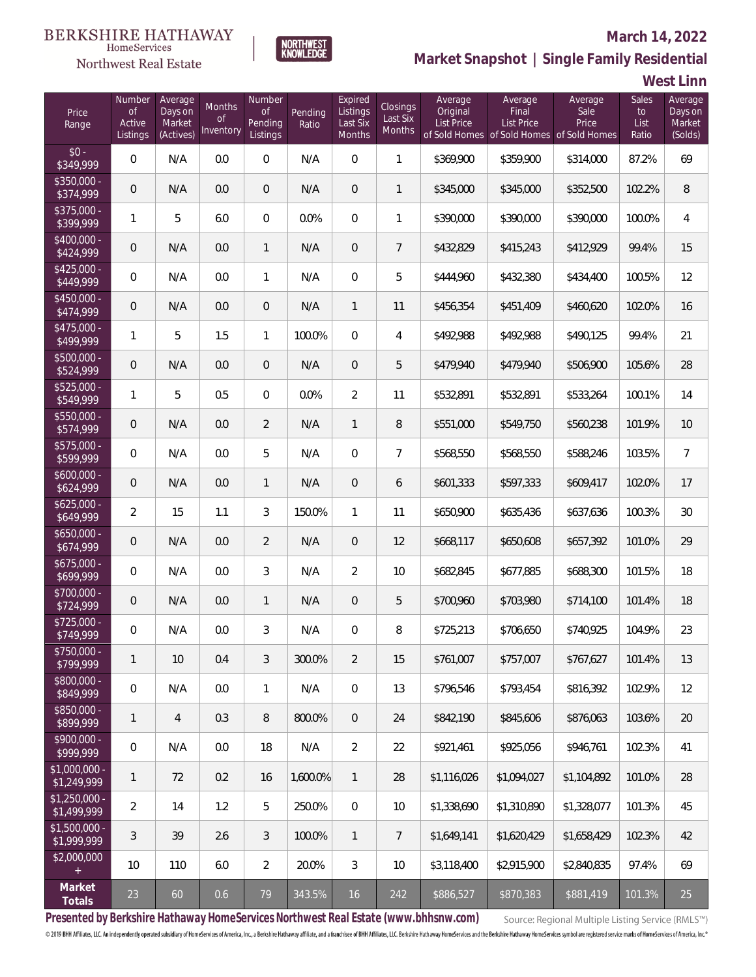### Northwest Real Estate

#### **March 14, 2022**



### **Market Snapshot | Single Family Residential**

**West Linn**

| Price<br>Range                | Number<br><b>of</b><br>Active<br>Listings | Average<br>Days on<br>Market<br>(Actives) | Months<br><b>of</b><br>Inventory | Number<br><b>of</b><br>Pending<br>Listings | Pending<br>Ratio | Expired<br>Listings<br>Last Six<br>Months | Closings<br>Last Six<br><b>Months</b> | Average<br>Original<br>List Price | Average<br>Final<br>List Price | Average<br>Sale<br>Price<br>of Sold Homes of Sold Homes of Sold Homes | Sales<br>to<br>List<br>Ratio | Average<br>Days on<br>Market<br>(Solds) |
|-------------------------------|-------------------------------------------|-------------------------------------------|----------------------------------|--------------------------------------------|------------------|-------------------------------------------|---------------------------------------|-----------------------------------|--------------------------------|-----------------------------------------------------------------------|------------------------------|-----------------------------------------|
| $$0 -$<br>\$349,999           | $\overline{0}$                            | N/A                                       | 0.0                              | $\overline{0}$                             | N/A              | $\overline{0}$                            | $\mathbf{1}$                          | \$369,900                         | \$359,900                      | \$314,000                                                             | 87.2%                        | 69                                      |
| \$350,000 -<br>\$374,999      | $\boldsymbol{0}$                          | N/A                                       | 0.0                              | $\overline{0}$                             | N/A              | $\overline{0}$                            | $\mathbf{1}$                          | \$345,000                         | \$345,000                      | \$352,500                                                             | 102.2%                       | $\, 8$                                  |
| $$375,000 -$<br>\$399,999     | $\mathbf{1}$                              | 5                                         | 6.0                              | $\overline{0}$                             | 0.0%             | $\overline{0}$                            | $\mathbf{1}$                          | \$390,000                         | \$390,000                      | \$390,000                                                             | 100.0%                       | $\overline{4}$                          |
| $$400,000 -$<br>\$424,999     | $\mathbf 0$                               | N/A                                       | 0.0                              | $\mathbf{1}$                               | N/A              | 0                                         | $7\overline{ }$                       | \$432,829                         | \$415,243                      | \$412,929                                                             | 99.4%                        | 15                                      |
| $$425,000 -$<br>\$449,999     | $\overline{0}$                            | N/A                                       | 0.0                              | $\mathbf{1}$                               | N/A              | $\overline{0}$                            | 5                                     | \$444,960                         | \$432,380                      | \$434,400                                                             | 100.5%                       | 12                                      |
| $$450,000 -$<br>\$474,999     | $\mathbf 0$                               | N/A                                       | 0.0                              | $\overline{0}$                             | N/A              | $\mathbf{1}$                              | 11                                    | \$456,354                         | \$451,409                      | \$460,620                                                             | 102.0%                       | 16                                      |
| $$475,000 -$<br>\$499,999     | 1                                         | 5                                         | 1.5                              | $\mathbf{1}$                               | 100.0%           | $\mathbf 0$                               | 4                                     | \$492,988                         | \$492,988                      | \$490,125                                                             | 99.4%                        | 21                                      |
| $$500,000 -$<br>\$524,999     | $\overline{0}$                            | N/A                                       | 0.0                              | $\overline{0}$                             | N/A              | $\overline{0}$                            | 5                                     | \$479,940                         | \$479,940                      | \$506,900                                                             | 105.6%                       | 28                                      |
| $$525,000 -$<br>\$549,999     | 1                                         | 5                                         | 0.5                              | $\overline{0}$                             | 0.0%             | $\overline{2}$                            | 11                                    | \$532,891                         | \$532,891                      | \$533,264                                                             | 100.1%                       | 14                                      |
| \$550,000 -<br>\$574,999      | $\mathbf 0$                               | N/A                                       | 0.0                              | $\overline{2}$                             | N/A              | 1                                         | 8                                     | \$551,000                         | \$549,750                      | \$560,238                                                             | 101.9%                       | 10                                      |
| $$575,000 -$<br>\$599,999     | $\mathbf 0$                               | N/A                                       | 0.0                              | 5                                          | N/A              | $\mathbf 0$                               | $\overline{7}$                        | \$568,550                         | \$568,550                      | \$588,246                                                             | 103.5%                       | $\overline{7}$                          |
| $$600,000 -$<br>\$624,999     | $\mathbf 0$                               | N/A                                       | 0.0                              | $\mathbf{1}$                               | N/A              | $\overline{0}$                            | 6                                     | \$601,333                         | \$597,333                      | \$609,417                                                             | 102.0%                       | 17                                      |
| $$625,000 -$<br>\$649,999     | $\overline{2}$                            | 15                                        | 1.1                              | 3                                          | 150.0%           | $\mathbf{1}$                              | 11                                    | \$650,900                         | \$635,436                      | \$637,636                                                             | 100.3%                       | 30 <sup>°</sup>                         |
| $$650,000 -$<br>\$674,999     | $\mathbf 0$                               | N/A                                       | 0.0                              | $\overline{2}$                             | N/A              | $\overline{0}$                            | 12                                    | \$668,117                         | \$650,608                      | \$657,392                                                             | 101.0%                       | 29                                      |
| $$675,000 -$<br>\$699,999     | $\overline{0}$                            | N/A                                       | 0.0                              | 3                                          | N/A              | $\overline{2}$                            | 10                                    | \$682,845                         | \$677,885                      | \$688,300                                                             | 101.5%                       | 18                                      |
| \$700,000 -<br>\$724,999      | $\mathbf 0$                               | N/A                                       | 0.0                              | $\mathbf{1}$                               | N/A              | $\overline{0}$                            | 5                                     | \$700,960                         | \$703,980                      | \$714,100                                                             | 101.4%                       | 18                                      |
| $$725,000 -$<br>\$749,999     | $\overline{0}$                            | N/A                                       | 0.0                              | 3                                          | N/A              | $\overline{0}$                            | 8                                     | \$725,213                         | \$706,650                      | \$740,925                                                             | 104.9%                       | 23                                      |
| \$750,000 -<br>\$799,999      | $\mathbf{1}$                              | 10                                        | 0.4                              | 3                                          | 300.0%           | $\overline{2}$                            | 15                                    | \$761,007                         | \$757,007                      | \$767,627                                                             | 101.4%                       | 13                                      |
| \$800,000 -<br>\$849,999      | 0                                         | N/A                                       | 0.0                              | $\mathbf{1}$                               | N/A              | $\boldsymbol{0}$                          | 13                                    | \$796,546                         | \$793,454                      | \$816,392                                                             | 102.9%                       | 12                                      |
| \$850,000 -<br>\$899,999      | $\mathbf{1}$                              | $\overline{4}$                            | 0.3                              | $\, 8$                                     | 800.0%           | $\overline{0}$                            | 24                                    | \$842,190                         | \$845,606                      | \$876,063                                                             | 103.6%                       | 20                                      |
| \$900,000 -<br>\$999,999      | 0                                         | N/A                                       | 0.0                              | 18                                         | N/A              | $\overline{2}$                            | 22                                    | \$921,461                         | \$925,056                      | \$946,761                                                             | 102.3%                       | 41                                      |
| $$1,000,000$ -<br>\$1,249,999 | $\mathbf{1}$                              | 72                                        | 0.2                              | 16                                         | 1,600.0%         | $\mathbf{1}$                              | 28                                    | \$1,116,026                       | \$1,094,027                    | \$1,104,892                                                           | 101.0%                       | 28                                      |
| $$1,250,000$ -<br>\$1,499,999 | $\overline{2}$                            | 14                                        | 1.2                              | 5                                          | 250.0%           | $\mathbf 0$                               | 10                                    | \$1,338,690                       | \$1,310,890                    | \$1,328,077                                                           | 101.3%                       | 45                                      |
| $$1,500,000 -$<br>\$1,999,999 | 3                                         | 39                                        | 2.6                              | 3                                          | 100.0%           | $\mathbf{1}$                              | $\overline{7}$                        | \$1,649,141                       | \$1,620,429                    | \$1,658,429                                                           | 102.3%                       | 42                                      |
| \$2,000,000<br>$+$            | 10                                        | 110                                       | $6.0\,$                          | $\overline{2}$                             | 20.0%            | 3                                         | 10                                    | \$3,118,400                       | \$2,915,900                    | \$2,840,835                                                           | 97.4%                        | 69                                      |
| Market<br>Totals              | $23\,$                                    | 60                                        | 0.6                              | 79                                         | 343.5%           | 16                                        | 242                                   | \$886,527                         | \$870,383                      | \$881,419                                                             | 101.3%                       | 25                                      |

**Presented by Berkshire Hathaway HomeServices Northwest Real Estate (www.bhhsnw.com)**

Source: Regional Multiple Listing Service (RMLS™)